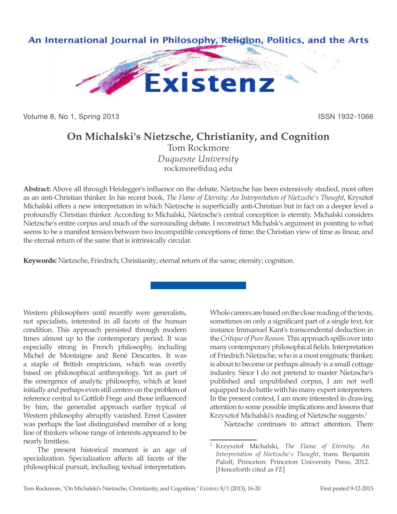

Volume 8, No 1, Spring 2013 **ISSN 1932-1066** ISSN 1932-1066

## **On Michalski's Nietzsche, Christianity, and Cognition**

Tom Rockmore *Duquesne University* rockmore@duq.edu

**Abstract:** Above all through Heidegger's influence on the debate, Nietzsche has been extensively studied, most often as an anti-Christian thinker. In his recent book, *The Flame of Eternity: An Interpretation of Nietzsche's Thought*, Krysztof Michalski offers a new interpretation in which Nietzsche is superficially anti-Christian but in fact on a deeper level a profoundly Christian thinker. According to Michalski, Nietzsche's central conception is eternity. Michalski considers Nietzsche's entire corpus and much of the surrounding debate. I reconstruct Michalsk's argument in pointing to what seems to be a manifest tension between two incompatible conceptions of time: the Christian view of time as linear, and the eternal return of the same that is intrinsically circular.

**Keywords:** Nietzsche, Friedrich; Christianity; eternal return of the same; eternity; cognition.

Western philosophers until recently were generalists, not specialists, interested in all facets of the human condition. This approach persisted through modern times almost up to the contemporary period. It was especially strong in French philosophy, including Michel de Montaigne and René Descartes. It was a staple of British empiricism, which was overtly based on philosophical anthropology. Yet as part of the emergence of analytic philosophy, which at least initially and perhaps even still centers on the problem of reference central to Gottlob Frege and those influenced by him, the generalist approach earlier typical of Western philosophy abruptly vanished. Ernst Cassirer was perhaps the last distinguished member of a long line of thinkers whose range of interests appeared to be nearly limitless.

The present historical moment is an age of specialization. Specialization affects all facets of the philosophical pursuit, including textual interpretation.

Whole careers are based on the close reading of the texts, sometimes on only a significant part of a single text, for instance Immanuel Kant's transcendental deduction in the *Critique of Pure Reason*. This approach spills over into many contemporary philosophical fields. Interpretation of Friedrich Nietzsche, who is a most enigmatic thinker, is about to become or perhaps already is a small cottage industry. Since I do not pretend to master Nietzsche's published and unpublished corpus, I am not well equipped to do battle with his many expert interpreters. In the present context, I am more interested in drawing attention to some possible implications and lessons that Krzysztof Michalski's reading of Nietzsche suggests.<sup>1</sup>

Nietzsche continues to attract attention. There

<sup>1</sup> Krzysztof Michalski, *The Flame of Eternity: An Interpretation of Nietzsche's Thought*, trans. Benjamin Paloff, Princeton: Princeton University Press, 2012. [Henceforth cited as *FE*]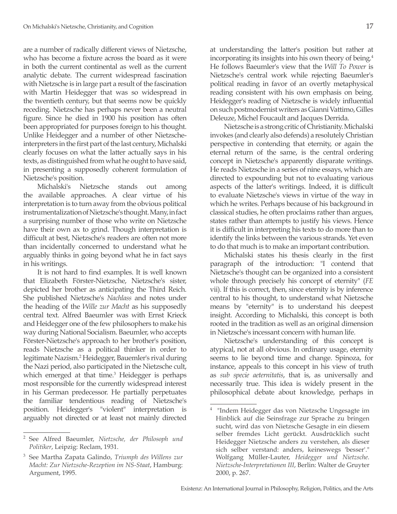are a number of radically different views of Nietzsche, who has become a fixture across the board as it were in both the current continental as well as the current analytic debate. The current widespread fascination with Nietzsche is in large part a result of the fascination with Martin Heidegger that was so widespread in the twentieth century, but that seems now be quickly receding. Nietzsche has perhaps never been a neutral figure. Since he died in 1900 his position has often been appropriated for purposes foreign to his thought. Unlike Heidegger and a number of other Nietzscheinterpreters in the first part of the last century, Michalski clearly focuses on what the latter actually says in his texts, as distinguished from what he ought to have said, in presenting a supposedly coherent formulation of Nietzsche's position.

Michalski's Nietzsche stands out among the available approaches. A clear virtue of his interpretation is to turn away from the obvious political instrumentalization of Nietzsche's thought. Many, in fact a surprising number of those who write on Nietzsche have their own ax to grind. Though interpretation is difficult at best, Nietzsche's readers are often not more than incidentally concerned to understand what he arguably thinks in going beyond what he in fact says in his writings.

It is not hard to find examples. It is well known that Elizabeth Förster-Nietzsche, Nietzsche's sister, depicted her brother as anticipating the Third Reich. She published Nietzsche's *Nachlass* and notes under the heading of the *Wille zur Macht* as his supposedly central text. Alfred Baeumler was with Ernst Krieck and Heidegger one of the few philosophers to make his way during National Socialism. Baeumler, who accepts Förster-Nietzsche's approach to her brother's position, reads Nietzsche as a political thinker in order to legitimate Nazism.2 Heidegger, Bauemler's rival during the Nazi period, also participated in the Nietzsche cult, which emerged at that time.<sup>3</sup> Heidegger is perhaps most responsible for the currently widespread interest in his German predecessor. He partially perpetuates the familiar tendentious reading of Nietzsche's position. Heidegger's "violent" interpretation is arguably not directed or at least not mainly directed

at understanding the latter's position but rather at incorporating its insights into his own theory of being.<sup>4</sup> He follows Baeumler's view that the *Will To Power* is Nietzsche's central work while rejecting Baeumler's political reading in favor of an overtly metaphysical reading consistent with his own emphasis on being. Heidegger's reading of Nietzsche is widely influential on such postmodernist writers as Gianni Vattimo, Gilles Deleuze, Michel Foucault and Jacques Derrida.

Nietzsche is a strong critic of Christianity. Michalski invokes (and clearly also defends) a resolutely Christian perspective in contending that eternity, or again the eternal return of the same, is the central ordering concept in Nietzsche's apparently disparate writings. He reads Nietzsche in a series of nine essays, which are directed to expounding but not to evaluating various aspects of the latter's writings. Indeed, it is difficult to evaluate Nietzsche's views in virtue of the way in which he writes. Perhaps because of his background in classical studies, he often proclaims rather than argues, states rather than attempts to justify his views. Hence it is difficult in interpreting his texts to do more than to identify the links between the various strands. Yet even to do that much is to make an important contribution.

Michalski states his thesis clearly in the first paragraph of the introduction: "I contend that Nietzsche's thought can be organized into a consistent whole through precisely his concept of eternity" (*FE* vii). If this is correct, then, since eternity is by inference central to his thought, to understand what Nietzsche means by "eternity" is to understand his deepest insight. According to Michalski, this concept is both rooted in the tradition as well as an original dimension in Nietzsche's incessant concern with human life.

Nietzsche's understanding of this concept is atypical, not at all obvious. In ordinary usage, eternity seems to lie beyond time and change. Spinoza, for instance, appeals to this concept in his view of truth as *sub specie aeternitatis*, that is, as universally and necessarily true. This idea is widely present in the philosophical debate about knowledge, perhaps in

<sup>2</sup> See Alfred Baeumler, *Nietzsche, der Philosoph und Politiker*, Leipzig: Reclam, 1931.

<sup>3</sup> See Martha Zapata Galindo, *Triumph des Willens zur Macht: Zur Nietzsche-Rezeption im NS-Staat*, Hamburg: Argument, 1995.

<sup>&</sup>quot;Indem Heidegger das von Nietzsche Ungesagte im Hinblick auf die Seinsfrage zur Sprache zu bringen sucht, wird das von Nietzsche Gesagte in ein diesem selber fremdes Licht gerückt. Ausdrücklich sucht Heidegger Nietzsche anders zu verstehen, als dieser sich selber verstand: anders, keineswegs 'besser'." Wolfgang Müller-Lauter, *Heidegger und Nietzsche. Nietzsche-Interpretationen III*, Berlin: Walter de Gruyter 2000, p. 267.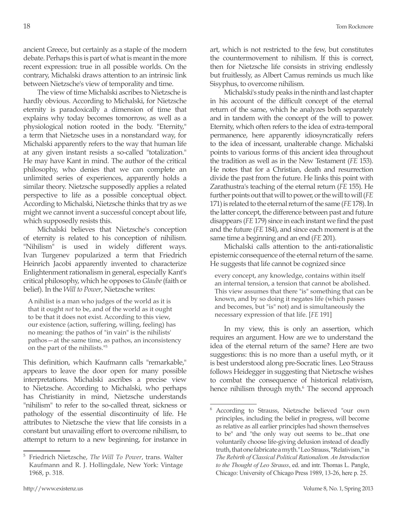ancient Greece, but certainly as a staple of the modern debate. Perhaps this is part of what is meant in the more recent expression: true in all possible worlds. On the contrary, Michalski draws attention to an intrinsic link between Nietzsche's view of temporality and time.

The view of time Michalski ascribes to Nietzsche is hardly obvious. According to Michalski, for Nietzsche eternity is paradoxically a dimension of time that explains why today becomes tomorrow, as well as a physiological notion rooted in the body. "Eternity," a term that Nietzsche uses in a nonstandard way, for Michalski apparently refers to the way that human life at any given instant resists a so-called "totalization." He may have Kant in mind. The author of the critical philosophy, who denies that we can complete an unlimited series of experiences, apparently holds a similar theory. Nietzsche supposedly applies a related perspective to life as a possible conceptual object. According to Michalski, Nietzsche thinks that try as we might we cannot invent a successful concept about life, which supposedly resists this.

Michalski believes that Nietzsche's conception of eternity is related to his conception of nihilism. "Nihilism" is used in widely different ways. Ivan Turgenev popularized a term that Friedrich Heinrich Jacobi apparently invented to characterize Enlightenment rationalism in general, especially Kant's critical philosophy, which he opposes to *Glaube* (faith or belief). In the *Will to Power*, Nietzsche writes:

A nihilist is a man who judges of the world as it is that it ought *not* to be, and of the world as it ought to be that it does not exist. According to this view, our existence (action, suffering, willing, feeling) has no meaning: the pathos of "in vain" is the nihilists' pathos—at the same time, as pathos, an inconsistency on the part of the nihilists."5

This definition, which Kaufmann calls "remarkable," appears to leave the door open for many possible interpretations. Michalski ascribes a precise view to Nietzsche. According to Michalski, who perhaps has Christianity in mind, Nietzsche understands "nihilism" to refer to the so-called threat, sickness or pathology of the essential discontinuity of life. He attributes to Nietzsche the view that life consists in a constant but unavailing effort to overcome nihilism, to attempt to return to a new beginning, for instance in art, which is not restricted to the few, but constitutes the countermovement to nihilism. If this is correct, then for Nietzsche life consists in striving endlessly but fruitlessly, as Albert Camus reminds us much like Sisyphus, to overcome nihilism.

Michalski's study peaks in the ninth and last chapter in his account of the difficult concept of the eternal return of the same, which he analyzes both separately and in tandem with the concept of the will to power. Eternity, which often refers to the idea of extra-temporal permanence, here apparently idiosyncratically refers to the idea of incessant, unalterable change. Michalski points to various forms of this ancient idea throughout the tradition as well as in the New Testament (*FE* 153). He notes that for a Christian, death and resurrection divide the past from the future. He links this point with Zarathustra's teaching of the eternal return (*FE* 155). He further points out that will to power, or the will to will (*FE* 171) is related to the eternal return of the same (*FE* 178). In the latter concept, the difference between past and future disappears (*FE* 179) since in each instant we find the past and the future (*FE* 184), and since each moment is at the same time a beginning and an end (*FE* 201).

Michalski calls attention to the anti-rationalistic epistemic consequence of the eternal return of the same. He suggests that life cannot be cognized since

every concept, any knowledge, contains within itself an internal tension, a tension that cannot be abolished. This view assumes that there "is" something that can be known, and by so doing it negates life (which passes and becomes, but "is" not) and is simultaneously the necessary expression of that life. [*FE* 191]

In my view, this is only an assertion, which requires an argument. How are we to understand the idea of the eternal return of the same? Here are two suggestions: this is no more than a useful myth, or it is best understood along pre-Socratic lines. Leo Strauss follows Heidegger in suggesting that Nietzsche wishes to combat the consequence of historical relativism, hence nihilism through myth.<sup>6</sup> The second approach

<sup>5</sup> Friedrich Nietzsche, *The Will To Power*, trans. Walter Kaufmann and R. J. Hollingdale, New York: Vintage 1968, p. 318.

<sup>6</sup> According to Strauss, Nietzsche believed "our own principles, including the belief in progress, will become as relative as all earlier principles had shown themselves to be" and "the only way out seems to be...that one voluntarily choose life-giving delusion instead of deadly truth, that one fabricate a myth."Leo Strauss, "Relativism," in *The Rebirth of Classical Political Rationalism. An Introduction to the Thought of Leo Strauss*, ed. and intr. Thomas L. Pangle, Chicago: University of Chicago Press 1989, 13-26, here p. 25.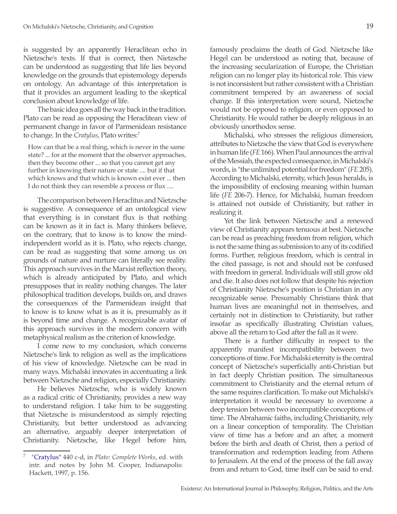is suggested by an apparently Heraclitean echo in Nietzsche's texts. If that is correct, then Nietzsche can be understood as suggesting that life lies beyond knowledge on the grounds that epistemology depends on ontology. An advantage of this interpretation is that it provides an argument leading to the skeptical conclusion about knowledge of life.

The basic idea goes all the way back in the tradition. Plato can be read as opposing the Heraclitean view of permanent change in favor of Parmenidean resistance to change. In the *Cratylus*, Plato writes:<sup>7</sup>

How can that be a real thing, which is never in the same state? ... for at the moment that the observer approaches, then they become other ... so that you cannot get any further in knowing their nature or state .... but if that which knows and that which is known exist ever ... then I do not think they can resemble a process or flux ....

The comparison between Heraclitus and Nietzsche is suggestive. A consequence of an ontological view that everything is in constant flux is that nothing can be known as it in fact is. Many thinkers believe, on the contrary, that to know is to know the mindindependent world as it is. Plato, who rejects change, can be read as suggesting that some among us on grounds of nature and nurture can literally see reality. This approach survives in the Marxist reflection theory, which is already anticipated by Plato, and which presupposes that in reality nothing changes. The later philosophical tradition develops, builds on, and draws the consequences of the Parmenidean insight that to know is to know what is as it is, presumably as it is beyond time and change. A recognizable avatar of this approach survives in the modern concern with metaphysical realism as the criterion of knowledge.

I come now to my conclusion, which concerns Nietzsche's link to religion as well as the implications of his view of knowledge. Nietzsche can be read in many ways. Michalski innovates in accentuating a link between Nietzsche and religion, especially Christianity.

He believes Nietzsche, who is widely known as a radical critic of Christianity, provides a new way to understand religion. I take him to be suggesting that Nietzsche is misunderstood as simply rejecting Christianity, but better understood as advancing an alternative, arguably deeper interpretation of Christianity. Nietzsche, like Hegel before him,

famously proclaims the death of God. Nietzsche like Hegel can be understood as noting that, because of the increasing secularization of Europe, the Christian religion can no longer play its historical role. This view is not inconsistent but rather consistent with a Christian commitment tempered by an awareness of social change. If this interpretation were sound, Nietzsche would not be opposed to religion, or even opposed to Christianity. He would rather be deeply religious in an obviously unorthodox sense.

Michalski, who stresses the religious dimension, attributes to Nietzsche the view that God is everywhere in human life (*FE* 166). When Paul announces the arrival of the Messiah, the expected consequence, in Michalski's words, is "the unlimited potential for freedom" (*FE* 205). According to Michalski, eternity, which Jesus heralds, is the impossibility of enclosing meaning within human life (*FE* 206-7). Hence, for Michalski, human freedom is attained not outside of Christianity, but rather in realizing it.

Yet the link between Nietzsche and a renewed view of Christianity appears tenuous at best. Nietzsche can be read as preaching freedom from religion, which is not the same thing as submission to any of its codified forms. Further, religious freedom, which is central in the cited passage, is not and should not be confused with freedom in general. Individuals will still grow old and die. It also does not follow that despite his rejection of Christianity Nietzsche's position is Christian in any recognizable sense. Presumably Christians think that human lives are meaningful not in themselves, and certainly not in distinction to Christianity, but rather insofar as specifically illustrating Christian values, above all the return to God after the fall as it were.

There is a further difficulty in respect to the apparently manifest incompatibility between two conceptions of time. For Michalski eternity is the central concept of Nietzsche's superficially anti-Christian but in fact deeply Christian position. The simultaneous commitment to Christianity and the eternal return of the same requires clarification. To make out Michalski's interpretation it would be necessary to overcome a deep tension between two incompatible conceptions of time. The Abrahamic faiths, including Christianity, rely on a linear conception of temporality. The Christian view of time has a before and an after, a moment before the birth and death of Christ, then a period of transformation and redemption leading from Athens to Jerusalem. At the end of the process of the fall away from and return to God, time itself can be said to end.

<sup>7</sup>"Cratylus" 440 c-d, in *Plato: Complete Works*, ed. with intr. and notes by John M. Cooper, Indianapolis: Hackett, 1997, p. 156.